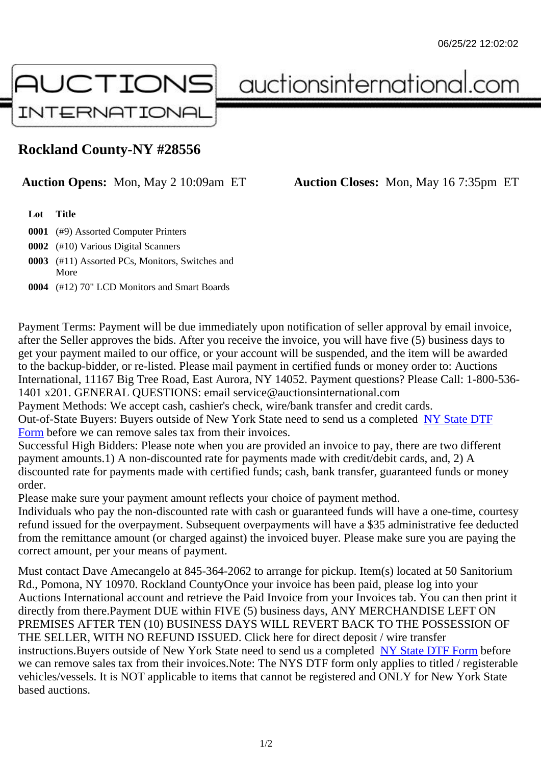## Rockland County-NY #28556

Auction Opens: Mon, May 2 10:09am ET Auction Closes: Mon, May 16 7:35pm ET

Lot Title

0001 (#9) Assorted Computer Printers

0002 (#10) Various Digital Scanners

- 0003 (#11) Assorted PCs, Monitors, Switches and More
- 0004 (#12) 70" LCD Monitors and Smart Boards

Payment Terms: Payment will be due immediately upon notification of seller approval by email invoice, after the Seller approves the bids. After you receive the invoice, you will have five (5) business days to get your payment mailed to our office, or your account will be suspended, and the item will be awarded to the backup-bidder, or re-listed. Please mail payment in certified funds or money order to: Auctions International, 11167 Big Tree Road, East Aurora, NY 14052. Payment questions? Please Call: 1-800-53 1401 x201. GENERAL QUESTIONS: email service@auctionsinternational.com

Payment Methods: We accept cash, cashier's check, wire/bank transfer and credit cards.

Out-of-State Buyers: Buyers outside of New York State need to send us a complered to TTF Form before we can remove sales tax from their invoices.

Successful High Bidders: Please note when you are provided an invoice to pay, there are two different payment amounts.1) A non-discounted rate for payments made with credit/de[bit cards, and](https://www.auctionsinternational.com/auxiliary/downloads/DTF_Form/dtf_fill_in.pdf), 2) A [disco](https://www.auctionsinternational.com/auxiliary/downloads/DTF_Form/dtf_fill_in.pdf)unted rate for payments made with certified funds; cash, bank transfer, guaranteed funds or mone order.

Please make sure your payment amount reflects your choice of payment method.

Individuals who pay the non-discounted rate with cash or guaranteed funds will have a one-time, courte refund issued for the overpayment. Subsequent overpayments will have a \$35 administrative fee deduc from the remittance amount (or charged against) the invoiced buyer. Please make sure you are paying correct amount, per your means of payment.

Must contact Dave Amecangelo at 845-364-2062 to arrange for pickup. Item(s) located at 50 Sanitorium Rd., Pomona, NY 10970. Rockland CountyOnce your invoice has been paid, please log into your Auctions International account and retrieve the Paid Invoice from your Invoices tab. You can then print it directly from there.Payment DUE within FIVE (5) business days, ANY MERCHANDISE LEFT ON PREMISES AFTER TEN (10) BUSINESS DAYS WILL REVERT BACK TO THE POSSESSION OF THE SELLER, WITH NO REFUND ISSUED. Click here for direct deposit / wire transfer instructions. Buyers outside of New York State need to send us a completed ate DTF Form before we can remove sales tax from their invoices.Note: The NYS DTF form only applies to titled / registerabl vehicles/vessels. It is NOT applicable to items that cannot be registered and ONLY for New York State based auctions.